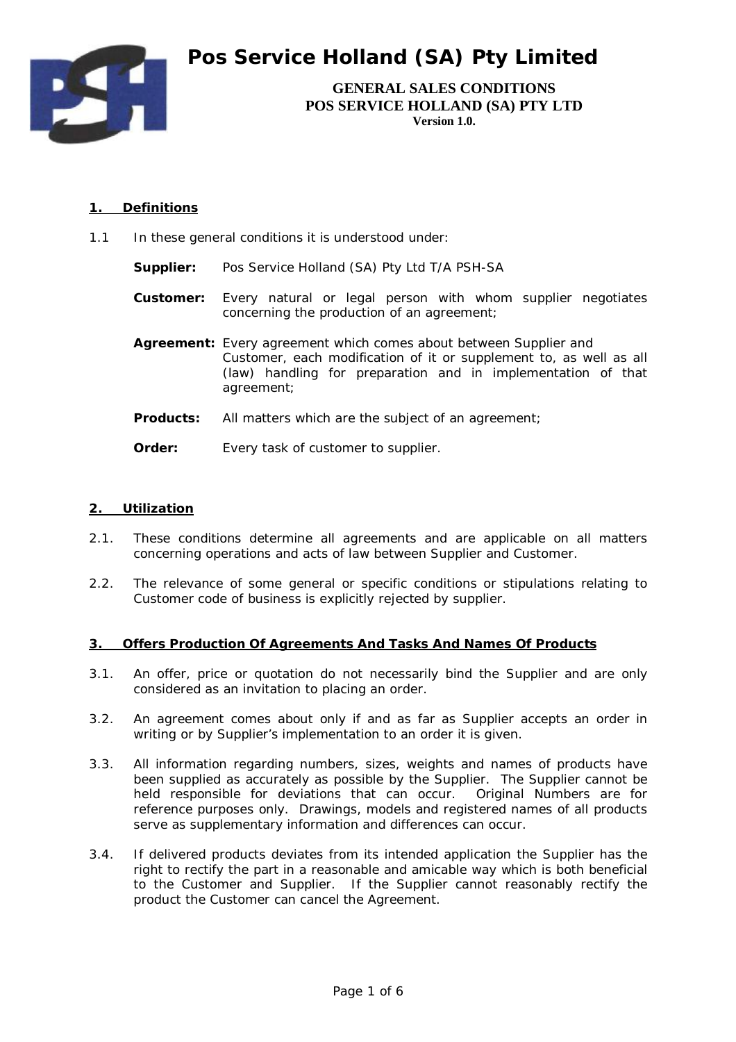

**GENERAL SALES CONDITIONS POS SERVICE HOLLAND (SA) PTY LTD Version 1.0.** 

## **1. Definitions**

- 1.1 In these general conditions it is understood under:
	- **Supplier:** Pos Service Holland (SA) Pty Ltd T/A PSH-SA
	- **Customer:** Every natural or legal person with whom supplier negotiates concerning the production of an agreement;
	- **Agreement:** Every agreement which comes about between Supplier and Customer, each modification of it or supplement to, as well as all (law) handling for preparation and in implementation of that agreement;
	- **Products:** All matters which are the subject of an agreement;
	- **Order:** Every task of customer to supplier.

#### **2. Utilization**

- 2.1. These conditions determine all agreements and are applicable on all matters concerning operations and acts of law between Supplier and Customer.
- 2.2. The relevance of some general or specific conditions or stipulations relating to Customer code of business is explicitly rejected by supplier.

#### **3. Offers Production Of Agreements And Tasks And Names Of Products**

- 3.1. An offer, price or quotation do not necessarily bind the Supplier and are only considered as an invitation to placing an order.
- 3.2. An agreement comes about only if and as far as Supplier accepts an order in writing or by Supplier's implementation to an order it is given.
- 3.3. All information regarding numbers, sizes, weights and names of products have been supplied as accurately as possible by the Supplier. The Supplier cannot be held responsible for deviations that can occur. Original Numbers are for reference purposes only. Drawings, models and registered names of all products serve as supplementary information and differences can occur.
- 3.4. If delivered products deviates from its intended application the Supplier has the right to rectify the part in a reasonable and amicable way which is both beneficial to the Customer and Supplier. If the Supplier cannot reasonably rectify the product the Customer can cancel the Agreement.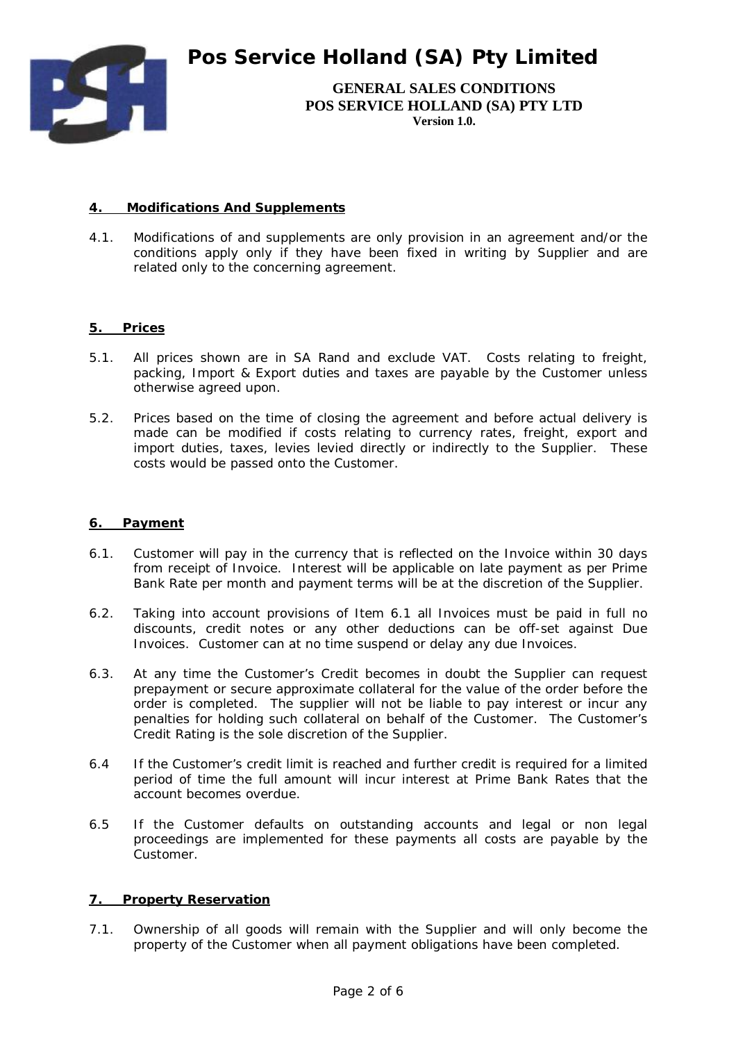

**GENERAL SALES CONDITIONS POS SERVICE HOLLAND (SA) PTY LTD Version 1.0.** 

## **4. Modifications And Supplements**

4.1. Modifications of and supplements are only provision in an agreement and/or the conditions apply only if they have been fixed in writing by Supplier and are related only to the concerning agreement.

## **5. Prices**

- 5.1. All prices shown are in SA Rand and exclude VAT. Costs relating to freight, packing, Import & Export duties and taxes are payable by the Customer unless otherwise agreed upon.
- 5.2. Prices based on the time of closing the agreement and before actual delivery is made can be modified if costs relating to currency rates, freight, export and import duties, taxes, levies levied directly or indirectly to the Supplier. These costs would be passed onto the Customer.

#### **6. Payment**

- 6.1. Customer will pay in the currency that is reflected on the Invoice within 30 days from receipt of Invoice. Interest will be applicable on late payment as per Prime Bank Rate per month and payment terms will be at the discretion of the Supplier.
- 6.2. Taking into account provisions of Item 6.1 all Invoices must be paid in full no discounts, credit notes or any other deductions can be off-set against Due Invoices. Customer can at no time suspend or delay any due Invoices.
- 6.3. At any time the Customer's Credit becomes in doubt the Supplier can request prepayment or secure approximate collateral for the value of the order before the order is completed. The supplier will not be liable to pay interest or incur any penalties for holding such collateral on behalf of the Customer. The Customer's Credit Rating is the sole discretion of the Supplier.
- 6.4 If the Customer's credit limit is reached and further credit is required for a limited period of time the full amount will incur interest at Prime Bank Rates that the account becomes overdue.
- 6.5 If the Customer defaults on outstanding accounts and legal or non legal proceedings are implemented for these payments all costs are payable by the Customer.

## **7. Property Reservation**

7.1. Ownership of all goods will remain with the Supplier and will only become the property of the Customer when all payment obligations have been completed.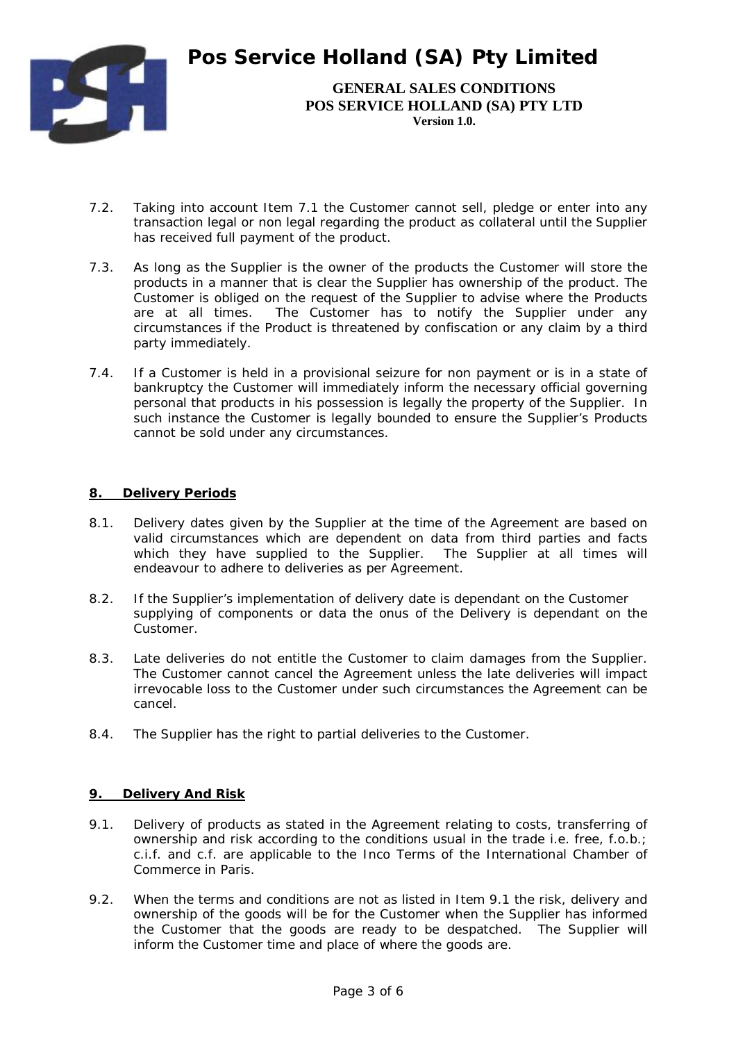

**GENERAL SALES CONDITIONS POS SERVICE HOLLAND (SA) PTY LTD Version 1.0.** 

- 7.2. Taking into account Item 7.1 the Customer cannot sell, pledge or enter into any transaction legal or non legal regarding the product as collateral until the Supplier has received full payment of the product.
- 7.3. As long as the Supplier is the owner of the products the Customer will store the products in a manner that is clear the Supplier has ownership of the product. The Customer is obliged on the request of the Supplier to advise where the Products are at all times. The Customer has to notify the Supplier under any circumstances if the Product is threatened by confiscation or any claim by a third party immediately.
- 7.4. If a Customer is held in a provisional seizure for non payment or is in a state of bankruptcy the Customer will immediately inform the necessary official governing personal that products in his possession is legally the property of the Supplier. In such instance the Customer is legally bounded to ensure the Supplier's Products cannot be sold under any circumstances.

## **8. Delivery Periods**

- 8.1. Delivery dates given by the Supplier at the time of the Agreement are based on valid circumstances which are dependent on data from third parties and facts which they have supplied to the Supplier. The Supplier at all times will endeavour to adhere to deliveries as per Agreement.
- 8.2. If the Supplier's implementation of delivery date is dependant on the Customer supplying of components or data the onus of the Delivery is dependant on the Customer.
- 8.3. Late deliveries do not entitle the Customer to claim damages from the Supplier. The Customer cannot cancel the Agreement unless the late deliveries will impact irrevocable loss to the Customer under such circumstances the Agreement can be cancel.
- 8.4. The Supplier has the right to partial deliveries to the Customer.

# **9. Delivery And Risk**

- 9.1. Delivery of products as stated in the Agreement relating to costs, transferring of ownership and risk according to the conditions usual in the trade i.e. free, f.o.b.; c.i.f. and c.f. are applicable to the Inco Terms of the International Chamber of Commerce in Paris.
- 9.2. When the terms and conditions are not as listed in Item 9.1 the risk, delivery and ownership of the goods will be for the Customer when the Supplier has informed the Customer that the goods are ready to be despatched. The Supplier will inform the Customer time and place of where the goods are.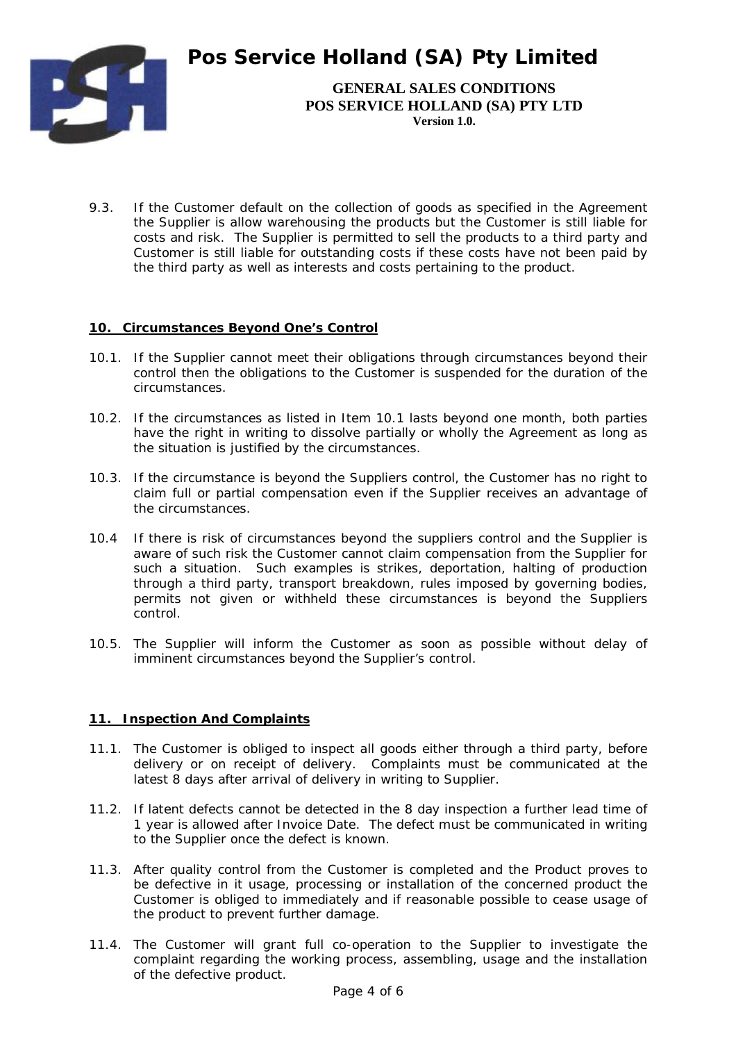

**GENERAL SALES CONDITIONS POS SERVICE HOLLAND (SA) PTY LTD Version 1.0.** 

9.3. If the Customer default on the collection of goods as specified in the Agreement the Supplier is allow warehousing the products but the Customer is still liable for costs and risk. The Supplier is permitted to sell the products to a third party and Customer is still liable for outstanding costs if these costs have not been paid by the third party as well as interests and costs pertaining to the product.

# **10. Circumstances Beyond One's Control**

- 10.1. If the Supplier cannot meet their obligations through circumstances beyond their control then the obligations to the Customer is suspended for the duration of the circumstances.
- 10.2. If the circumstances as listed in Item 10.1 lasts beyond one month, both parties have the right in writing to dissolve partially or wholly the Agreement as long as the situation is justified by the circumstances.
- 10.3. If the circumstance is beyond the Suppliers control, the Customer has no right to claim full or partial compensation even if the Supplier receives an advantage of the circumstances.
- 10.4 If there is risk of circumstances beyond the suppliers control and the Supplier is aware of such risk the Customer cannot claim compensation from the Supplier for such a situation. Such examples is strikes, deportation, halting of production through a third party, transport breakdown, rules imposed by governing bodies, permits not given or withheld these circumstances is beyond the Suppliers control.
- 10.5. The Supplier will inform the Customer as soon as possible without delay of imminent circumstances beyond the Supplier's control.

## **11. Inspection And Complaints**

- 11.1. The Customer is obliged to inspect all goods either through a third party, before delivery or on receipt of delivery. Complaints must be communicated at the latest 8 days after arrival of delivery in writing to Supplier.
- 11.2. If latent defects cannot be detected in the 8 day inspection a further lead time of 1 year is allowed after Invoice Date. The defect must be communicated in writing to the Supplier once the defect is known.
- 11.3. After quality control from the Customer is completed and the Product proves to be defective in it usage, processing or installation of the concerned product the Customer is obliged to immediately and if reasonable possible to cease usage of the product to prevent further damage.
- 11.4. The Customer will grant full co-operation to the Supplier to investigate the complaint regarding the working process, assembling, usage and the installation of the defective product.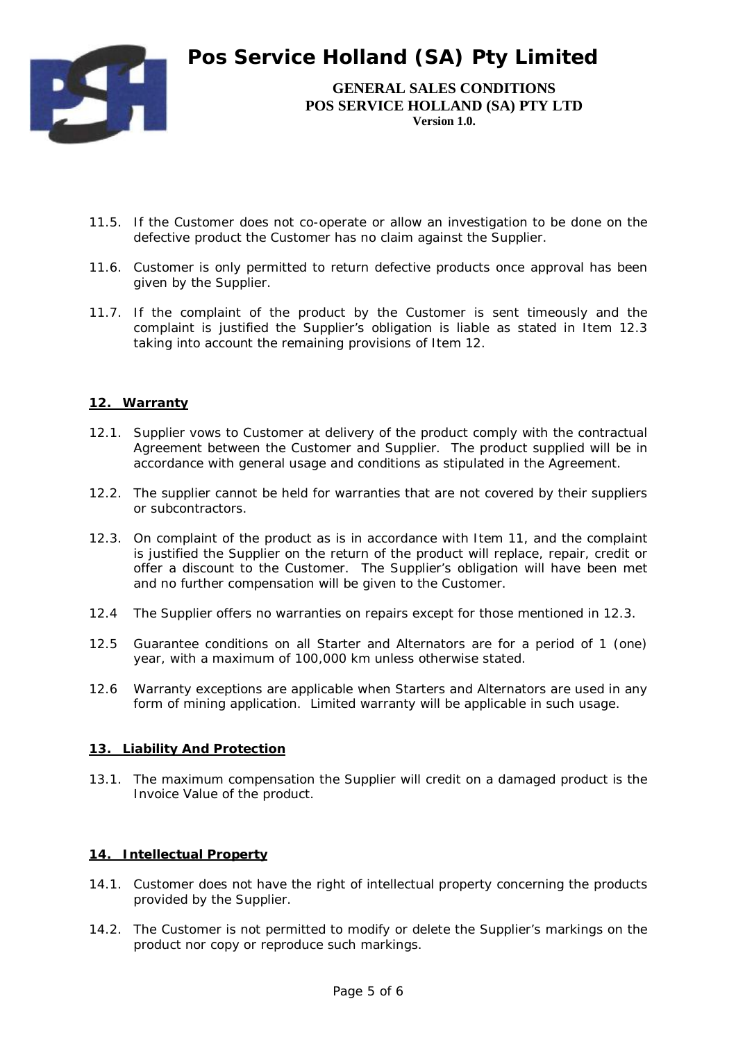

**GENERAL SALES CONDITIONS POS SERVICE HOLLAND (SA) PTY LTD Version 1.0.** 

- 11.5. If the Customer does not co-operate or allow an investigation to be done on the defective product the Customer has no claim against the Supplier.
- 11.6. Customer is only permitted to return defective products once approval has been given by the Supplier.
- 11.7. If the complaint of the product by the Customer is sent timeously and the complaint is justified the Supplier's obligation is liable as stated in Item 12.3 taking into account the remaining provisions of Item 12.

# **12. Warranty**

- 12.1. Supplier vows to Customer at delivery of the product comply with the contractual Agreement between the Customer and Supplier. The product supplied will be in accordance with general usage and conditions as stipulated in the Agreement.
- 12.2. The supplier cannot be held for warranties that are not covered by their suppliers or subcontractors.
- 12.3. On complaint of the product as is in accordance with Item 11, and the complaint is justified the Supplier on the return of the product will replace, repair, credit or offer a discount to the Customer. The Supplier's obligation will have been met and no further compensation will be given to the Customer.
- 12.4 The Supplier offers no warranties on repairs except for those mentioned in 12.3.
- 12.5 Guarantee conditions on all Starter and Alternators are for a period of 1 (one) year, with a maximum of 100,000 km unless otherwise stated.
- 12.6 Warranty exceptions are applicable when Starters and Alternators are used in any form of mining application. Limited warranty will be applicable in such usage.

## **13. Liability And Protection**

13.1. The maximum compensation the Supplier will credit on a damaged product is the Invoice Value of the product.

## **14. Intellectual Property**

- 14.1. Customer does not have the right of intellectual property concerning the products provided by the Supplier.
- 14.2. The Customer is not permitted to modify or delete the Supplier's markings on the product nor copy or reproduce such markings.